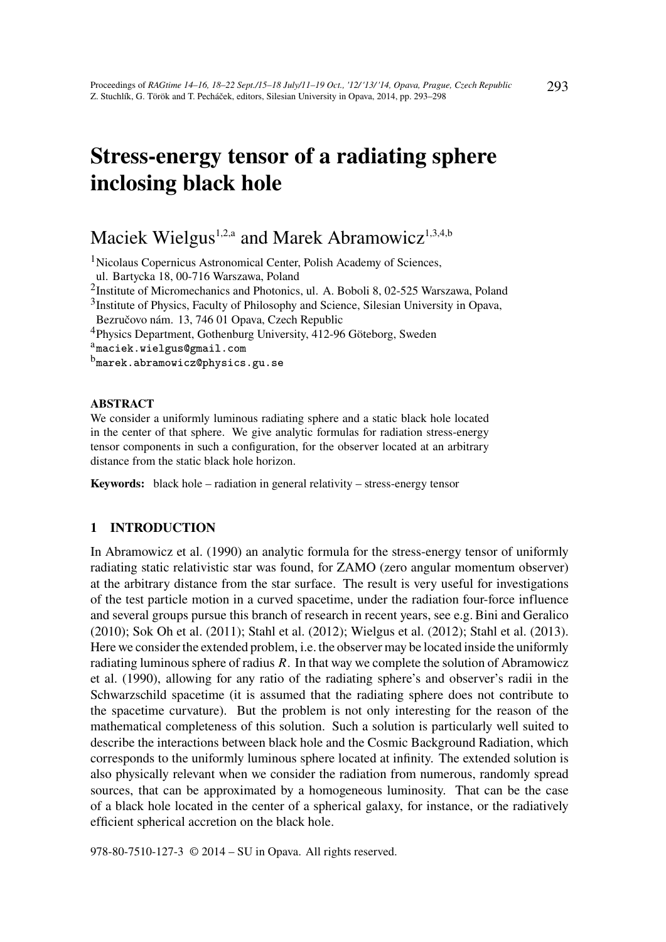# Stress-energy tensor of a radiating sphere inclosing black hole

# Maciek Wielgus<sup>1,2,a</sup> and Marek Abramowicz<sup>1,3,4,b</sup>

<sup>1</sup>Nicolaus Copernicus Astronomical Center, Polish Academy of Sciences,

ul. Bartycka 18, 00-716 Warszawa, Poland

<sup>2</sup>Institute of Micromechanics and Photonics, ul. A. Boboli 8, 02-525 Warszawa, Poland

<sup>3</sup>Institute of Physics, Faculty of Philosophy and Science, Silesian University in Opava,

Bezručovo nám. 13, 746 01 Opava, Czech Republic

<sup>4</sup>Physics Department, Gothenburg University, 412-96 Göteborg, Sweden

<sup>a</sup>maciek.wielgus@gmail.com

 $^{\rm b}$ marek.abramowicz@physics.gu.se

#### ABSTRACT

We consider a uniformly luminous radiating sphere and a static black hole located in the center of that sphere. We give analytic formulas for radiation stress-energy tensor components in such a configuration, for the observer located at an arbitrary distance from the static black hole horizon.

Keywords: black hole – radiation in general relativity – stress-energy tensor

#### 1 INTRODUCTION

In Abramowicz et al. (1990) an analytic formula for the stress-energy tensor of uniformly radiating static relativistic star was found, for ZAMO (zero angular momentum observer) at the arbitrary distance from the star surface. The result is very useful for investigations of the test particle motion in a curved spacetime, under the radiation four-force influence and several groups pursue this branch of research in recent years, see e.g. Bini and Geralico (2010); Sok Oh et al. (2011); Stahl et al. (2012); Wielgus et al. (2012); Stahl et al. (2013). Here we consider the extended problem, i.e. the observer may be located inside the uniformly radiating luminous sphere of radius *R*. In that way we complete the solution of Abramowicz et al. (1990), allowing for any ratio of the radiating sphere's and observer's radii in the Schwarzschild spacetime (it is assumed that the radiating sphere does not contribute to the spacetime curvature). But the problem is not only interesting for the reason of the mathematical completeness of this solution. Such a solution is particularly well suited to describe the interactions between black hole and the Cosmic Background Radiation, which corresponds to the uniformly luminous sphere located at infinity. The extended solution is also physically relevant when we consider the radiation from numerous, randomly spread sources, that can be approximated by a homogeneous luminosity. That can be the case of a black hole located in the center of a spherical galaxy, for instance, or the radiatively efficient spherical accretion on the black hole.

978-80-7510-127-3 © 2014 – SU in Opava. All rights reserved.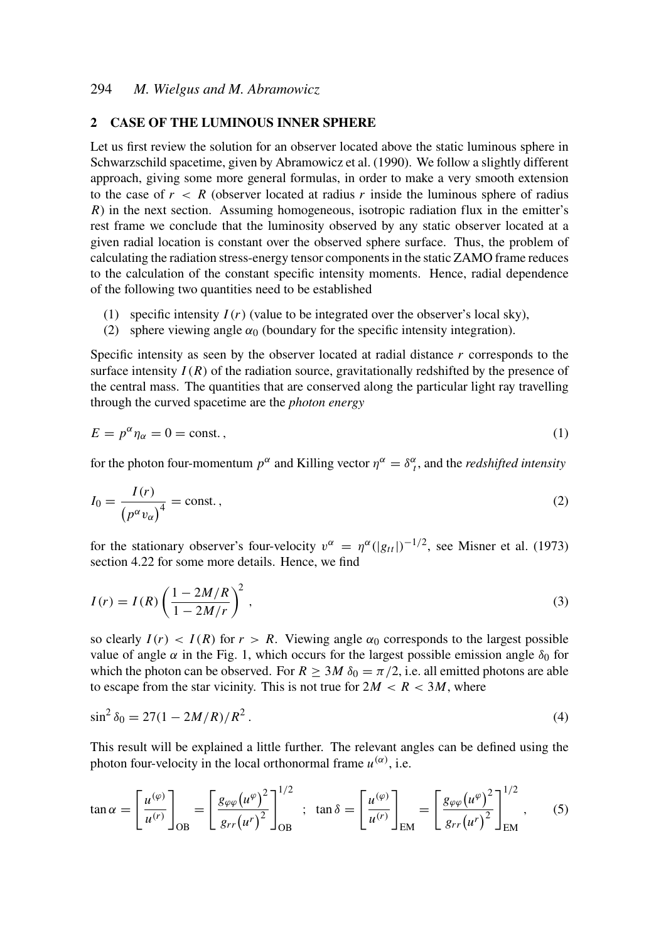# 2 CASE OF THE LUMINOUS INNER SPHERE

Let us first review the solution for an observer located above the static luminous sphere in Schwarzschild spacetime, given by Abramowicz et al. (1990). We follow a slightly different approach, giving some more general formulas, in order to make a very smooth extension to the case of  $r < R$  (observer located at radius r inside the luminous sphere of radius *R*) in the next section. Assuming homogeneous, isotropic radiation flux in the emitter's rest frame we conclude that the luminosity observed by any static observer located at a given radial location is constant over the observed sphere surface. Thus, the problem of calculating the radiation stress-energy tensor components in the static ZAMO frame reduces to the calculation of the constant specific intensity moments. Hence, radial dependence of the following two quantities need to be established

- (1) specific intensity  $I(r)$  (value to be integrated over the observer's local sky),
- (2) sphere viewing angle  $\alpha_0$  (boundary for the specific intensity integration).

Specific intensity as seen by the observer located at radial distance *r* corresponds to the surface intensity  $I(R)$  of the radiation source, gravitationally redshifted by the presence of the central mass. The quantities that are conserved along the particular light ray travelling through the curved spacetime are the *photon energy*

$$
E = p^{\alpha} \eta_{\alpha} = 0 = \text{const.} \,, \tag{1}
$$

for the photon four-momentum  $p^{\alpha}$  and Killing vector  $\eta^{\alpha} = \delta^{\alpha}_{t}$ , and the *redshifted intensity* 

$$
I_0 = \frac{I(r)}{\left(p^\alpha v_\alpha\right)^4} = \text{const.}\,,\tag{2}
$$

for the stationary observer's four-velocity  $v^{\alpha} = \eta^{\alpha}(|g_{tt}|)^{-1/2}$ , see Misner et al. (1973) section 4.22 for some more details. Hence, we find

$$
I(r) = I(R) \left(\frac{1 - 2M/R}{1 - 2M/r}\right)^2,
$$
\n
$$
(3)
$$

so clearly  $I(r) < I(R)$  for  $r > R$ . Viewing angle  $\alpha_0$  corresponds to the largest possible value of angle  $\alpha$  in the Fig. 1, which occurs for the largest possible emission angle  $\delta_0$  for which the photon can be observed. For  $R \ge 3M \delta_0 = \pi/2$ , i.e. all emitted photons are able to escape from the star vicinity. This is not true for  $2M < R < 3M$ , where

$$
\sin^2 \delta_0 = 27(1 - 2M/R)/R^2. \tag{4}
$$

This result will be explained a little further. The relevant angles can be defined using the photon four-velocity in the local orthonormal frame  $u^{(\alpha)}$ , i.e.

$$
\tan \alpha = \left[\frac{u^{(\varphi)}}{u^{(r)}}\right]_{\text{OB}} = \left[\frac{g_{\varphi\varphi}(u^{\varphi})^2}{g_{rr}(u^r)^2}\right]_{\text{OB}}^{1/2} \; ; \; \tan \delta = \left[\frac{u^{(\varphi)}}{u^{(r)}}\right]_{\text{EM}} = \left[\frac{g_{\varphi\varphi}(u^{\varphi})^2}{g_{rr}(u^r)^2}\right]_{\text{EM}}^{1/2} , \qquad (5)
$$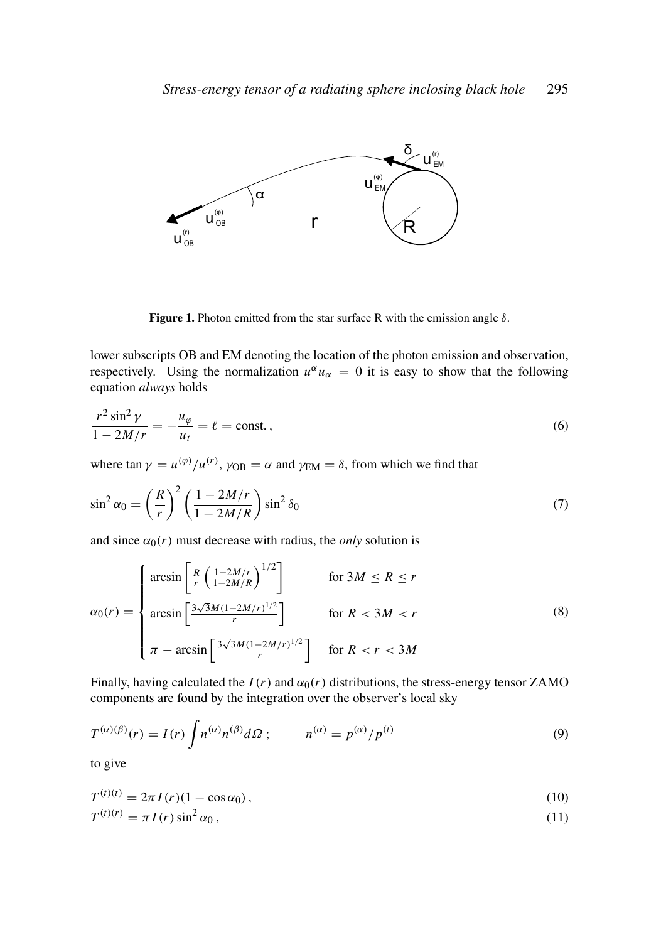

Figure 1. Photon emitted from the star surface R with the emission angle  $\delta$ .

lower subscripts OB and EM denoting the location of the photon emission and observation, respectively. Using the normalization  $u^{\alpha} u_{\alpha} = 0$  it is easy to show that the following equation *always* holds

$$
\frac{r^2 \sin^2 \gamma}{1 - 2M/r} = -\frac{u_\varphi}{u_t} = \ell = \text{const.}\,,\tag{6}
$$

where  $\tan \gamma = u^{(\varphi)}/u^{(r)}$ ,  $\gamma_{OB} = \alpha$  and  $\gamma_{EM} = \delta$ , from which we find that

$$
\sin^2 \alpha_0 = \left(\frac{R}{r}\right)^2 \left(\frac{1 - 2M/r}{1 - 2M/R}\right) \sin^2 \delta_0 \tag{7}
$$

and since  $\alpha_0(r)$  must decrease with radius, the *only* solution is

$$
\alpha_0(r) = \begin{cases}\n\arcsin\left[\frac{R}{r}\left(\frac{1-2M/r}{1-2M/R}\right)^{1/2}\right] & \text{for } 3M \le R \le r \\
\arcsin\left[\frac{3\sqrt{3}M(1-2M/r)^{1/2}}{r}\right] & \text{for } R < 3M < r \\
\pi - \arcsin\left[\frac{3\sqrt{3}M(1-2M/r)^{1/2}}{r}\right] & \text{for } R < r < 3M\n\end{cases} \tag{8}
$$

Finally, having calculated the  $I(r)$  and  $\alpha_0(r)$  distributions, the stress-energy tensor ZAMO components are found by the integration over the observer's local sky

$$
T^{(\alpha)(\beta)}(r) = I(r) \int n^{(\alpha)} n^{(\beta)} d\Omega ; \qquad n^{(\alpha)} = p^{(\alpha)} / p^{(t)} \tag{9}
$$

to give

$$
T^{(t)(t)} = 2\pi I(r)(1 - \cos \alpha_0),
$$
  
\n
$$
T^{(t)(r)} = \pi I(r) \sin^2 \alpha_0,
$$
\n(11)

$$
f(t)(r) = \pi I(r) \sin^2 \alpha_0,
$$
\n<sup>(11)</sup>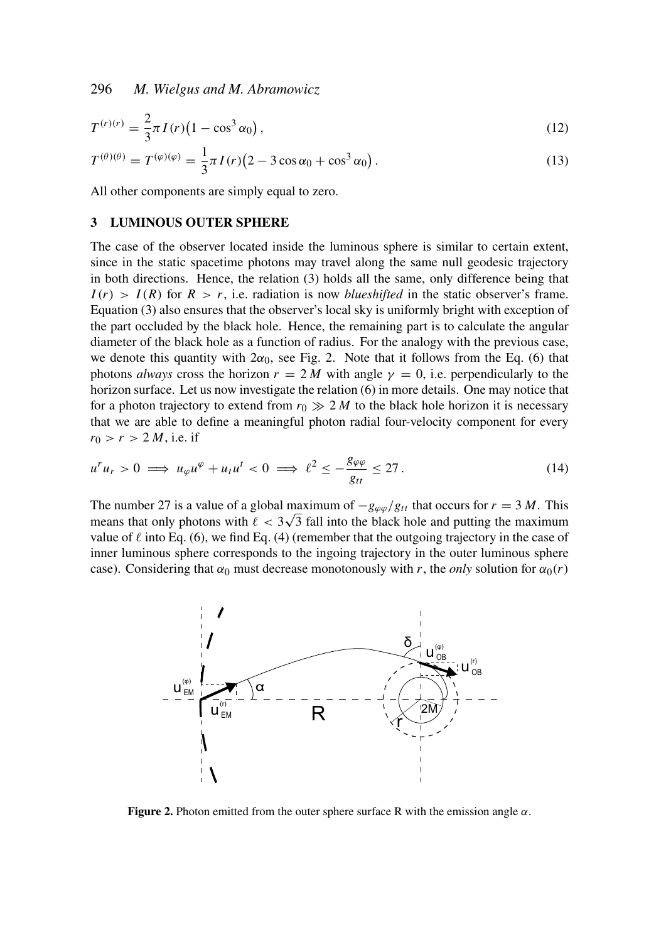296 *M. Wielgus and M. Abramowicz*

$$
T^{(r)(r)} = \frac{2}{3}\pi I(r)\left(1 - \cos^3 \alpha_0\right),
$$
  
\n
$$
T^{(\theta)(\theta)} = T^{(\varphi)(\varphi)} = \frac{1}{3}\pi I(r)\left(2 - 3\cos\alpha_0 + \cos^3\alpha_0\right).
$$
\n(13)

All other components are simply equal to zero.

#### 3 LUMINOUS OUTER SPHERE

The case of the observer located inside the luminous sphere is similar to certain extent, since in the static spacetime photons may travel along the same null geodesic trajectory in both directions. Hence, the relation (3) holds all the same, only difference being that  $I(r) > I(R)$  for  $R > r$ , i.e. radiation is now *blueshifted* in the static observer's frame. Equation (3) also ensures that the observer's local sky is uniformly bright with exception of the part occluded by the black hole. Hence, the remaining part is to calculate the angular diameter of the black hole as a function of radius. For the analogy with the previous case, we denote this quantity with  $2\alpha_0$ , see Fig. 2. Note that it follows from the Eq. (6) that photons *always* cross the horizon  $r = 2 M$  with angle  $\gamma = 0$ , i.e. perpendicularly to the horizon surface. Let us now investigate the relation (6) in more details. One may notice that for a photon trajectory to extend from  $r_0 \gg 2 M$  to the black hole horizon it is necessary that we are able to define a meaningful photon radial four-velocity component for every  $r_0 > r > 2 M$ , i.e. if

$$
u^{r}u_{r} > 0 \implies u_{\varphi}u^{\varphi} + u_{t}u^{t} < 0 \implies \ell^{2} \le -\frac{g_{\varphi\varphi}}{g_{tt}} \le 27. \tag{14}
$$

The number 27 is a value of a global maximum of  $-g_{\varphi\varphi}/g_{tt}$  that occurs for  $r = 3 M$ . This means that only photons with  $\ell < 3\sqrt{3}$  fall into the black hole and putting the maximum value of  $\ell$  into Eq. (6), we find Eq. (4) (remember that the outgoing trajectory in the case of inner luminous sphere corresponds to the ingoing trajectory in the outer luminous sphere case). Considering that  $\alpha_0$  must decrease monotonously with *r*, the *only* solution for  $\alpha_0(r)$ 



**Figure 2.** Photon emitted from the outer sphere surface R with the emission angle  $\alpha$ .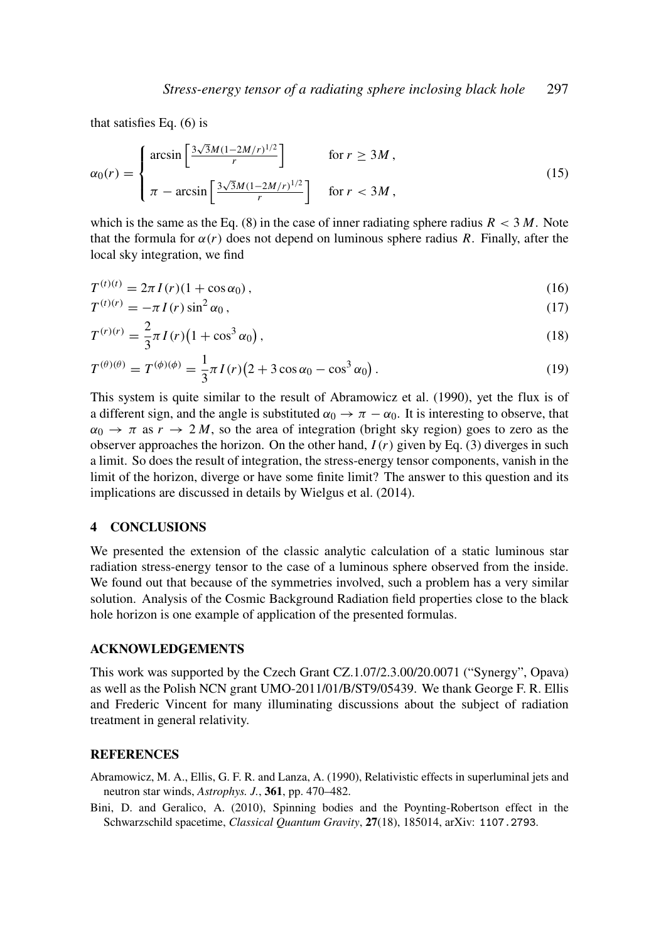that satisfies Eq. (6) is

$$
\alpha_0(r) = \begin{cases}\n\arcsin\left[\frac{3\sqrt{3}M(1-2M/r)^{1/2}}{r}\right] & \text{for } r \ge 3M, \\
\pi - \arcsin\left[\frac{3\sqrt{3}M(1-2M/r)^{1/2}}{r}\right] & \text{for } r < 3M,\n\end{cases}
$$
\n(15)

which is the same as the Eq.  $(8)$  in the case of inner radiating sphere radius  $R < 3 M$ . Note that the formula for  $\alpha(r)$  does not depend on luminous sphere radius *R*. Finally, after the local sky integration, we find

$$
T^{(t)(t)} = 2\pi I(r)(1 + \cos \alpha_0),
$$
\n(16)

$$
T^{(t)(r)} = -\pi I(r) \sin^2 \alpha_0, \qquad (17)
$$

$$
T^{(r)(r)} = \frac{2}{3}\pi I(r)\left(1 + \cos^3 \alpha_0\right),\tag{18}
$$

$$
T^{(\theta)(\theta)} = T^{(\phi)(\phi)} = \frac{1}{3}\pi I(r)(2 + 3\cos\alpha_0 - \cos^3\alpha_0). \tag{19}
$$

This system is quite similar to the result of Abramowicz et al. (1990), yet the flux is of a different sign, and the angle is substituted  $\alpha_0 \to \pi - \alpha_0$ . It is interesting to observe, that  $\alpha_0 \to \pi$  as  $r \to 2M$ , so the area of integration (bright sky region) goes to zero as the observer approaches the horizon. On the other hand, *I*(*r*) given by Eq. (3) diverges in such a limit. So does the result of integration, the stress-energy tensor components, vanish in the limit of the horizon, diverge or have some finite limit? The answer to this question and its implications are discussed in details by Wielgus et al. (2014).

### 4 CONCLUSIONS

We presented the extension of the classic analytic calculation of a static luminous star radiation stress-energy tensor to the case of a luminous sphere observed from the inside. We found out that because of the symmetries involved, such a problem has a very similar solution. Analysis of the Cosmic Background Radiation field properties close to the black hole horizon is one example of application of the presented formulas.

# ACKNOWLEDGEMENTS

This work was supported by the Czech Grant CZ.1.07/2.3.00/20.0071 ("Synergy", Opava) as well as the Polish NCN grant UMO-2011/01/B/ST9/05439. We thank George F. R. Ellis and Frederic Vincent for many illuminating discussions about the subject of radiation treatment in general relativity.

#### **REFERENCES**

- Abramowicz, M. A., Ellis, G. F. R. and Lanza, A. (1990), Relativistic effects in superluminal jets and neutron star winds, *Astrophys. J.*, 361, pp. 470–482.
- Bini, D. and Geralico, A. (2010), Spinning bodies and the Poynting-Robertson effect in the Schwarzschild spacetime, *Classical Quantum Gravity*, 27(18), 185014, arXiv: 1107.2793.